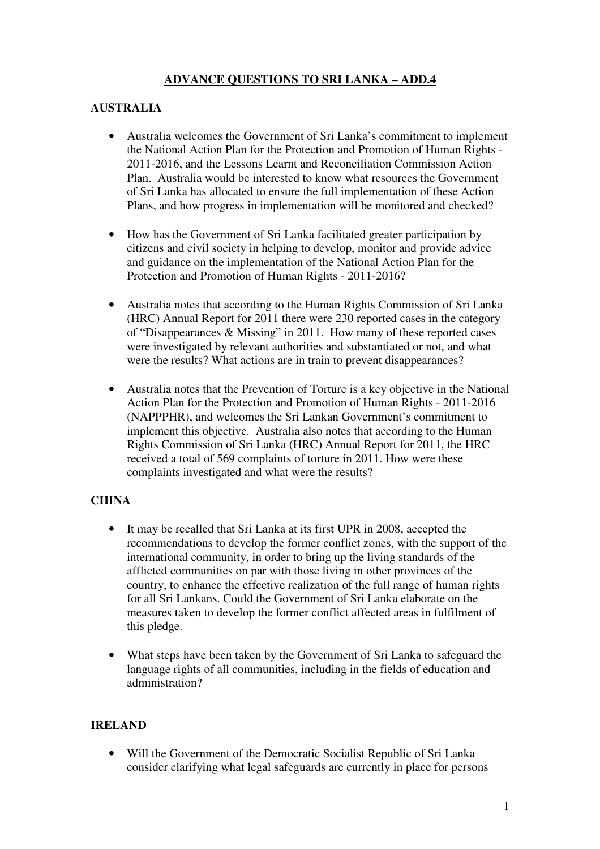# **ADVANCE QUESTIONS TO SRI LANKA – ADD.4**

### **AUSTRALIA**

- Australia welcomes the Government of Sri Lanka's commitment to implement the National Action Plan for the Protection and Promotion of Human Rights - 2011-2016, and the Lessons Learnt and Reconciliation Commission Action Plan. Australia would be interested to know what resources the Government of Sri Lanka has allocated to ensure the full implementation of these Action Plans, and how progress in implementation will be monitored and checked?
- How has the Government of Sri Lanka facilitated greater participation by citizens and civil society in helping to develop, monitor and provide advice and guidance on the implementation of the National Action Plan for the Protection and Promotion of Human Rights - 2011-2016?
- Australia notes that according to the Human Rights Commission of Sri Lanka (HRC) Annual Report for 2011 there were 230 reported cases in the category of "Disappearances & Missing" in 2011. How many of these reported cases were investigated by relevant authorities and substantiated or not, and what were the results? What actions are in train to prevent disappearances?
- Australia notes that the Prevention of Torture is a key objective in the National Action Plan for the Protection and Promotion of Human Rights - 2011-2016 (NAPPPHR), and welcomes the Sri Lankan Government's commitment to implement this objective. Australia also notes that according to the Human Rights Commission of Sri Lanka (HRC) Annual Report for 2011, the HRC received a total of 569 complaints of torture in 2011. How were these complaints investigated and what were the results?

#### **CHINA**

- It may be recalled that Sri Lanka at its first UPR in 2008, accepted the recommendations to develop the former conflict zones, with the support of the international community, in order to bring up the living standards of the afflicted communities on par with those living in other provinces of the country, to enhance the effective realization of the full range of human rights for all Sri Lankans. Could the Government of Sri Lanka elaborate on the measures taken to develop the former conflict affected areas in fulfilment of this pledge.
- What steps have been taken by the Government of Sri Lanka to safeguard the language rights of all communities, including in the fields of education and administration?

### **IRELAND**

• Will the Government of the Democratic Socialist Republic of Sri Lanka consider clarifying what legal safeguards are currently in place for persons